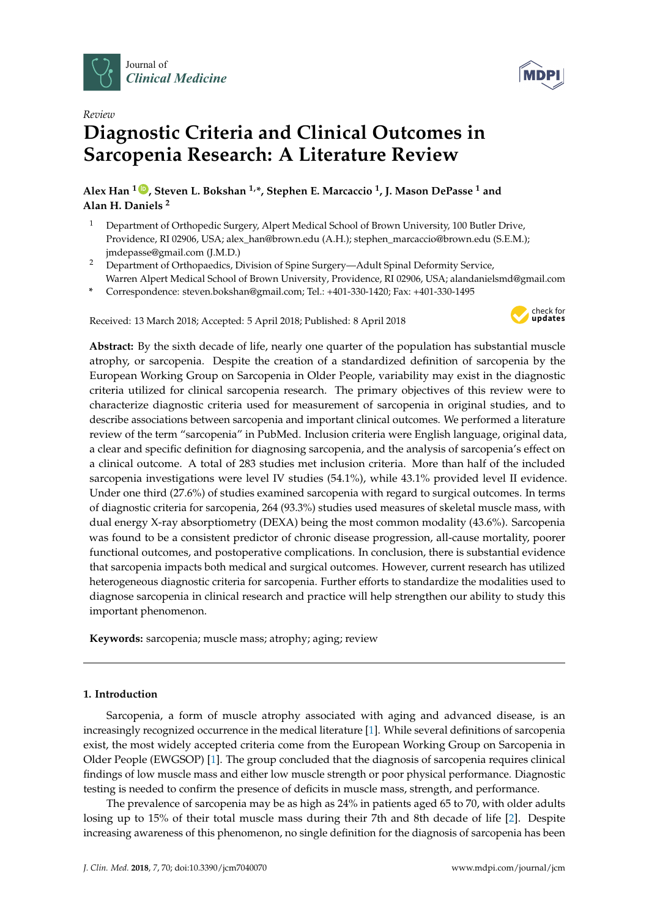

*Review*

# **Diagnostic Criteria and Clinical Outcomes in Sarcopenia Research: A Literature Review**

**Alex Han <sup>1</sup> [ID](https://orcid.org/0000-0002-4690-318X) , Steven L. Bokshan 1,\*, Stephen E. Marcaccio <sup>1</sup> , J. Mason DePasse <sup>1</sup> and Alan H. Daniels <sup>2</sup>**

- <sup>1</sup> Department of Orthopedic Surgery, Alpert Medical School of Brown University, 100 Butler Drive, Providence, RI 02906, USA; alex\_han@brown.edu (A.H.); stephen\_marcaccio@brown.edu (S.E.M.); jmdepasse@gmail.com (J.M.D.)
- <sup>2</sup> Department of Orthopaedics, Division of Spine Surgery—Adult Spinal Deformity Service, Warren Alpert Medical School of Brown University, Providence, RI 02906, USA; alandanielsmd@gmail.com
- **\*** Correspondence: steven.bokshan@gmail.com; Tel.: +401-330-1420; Fax: +401-330-1495

Received: 13 March 2018; Accepted: 5 April 2018; Published: 8 April 2018



**Abstract:** By the sixth decade of life, nearly one quarter of the population has substantial muscle atrophy, or sarcopenia. Despite the creation of a standardized definition of sarcopenia by the European Working Group on Sarcopenia in Older People, variability may exist in the diagnostic criteria utilized for clinical sarcopenia research. The primary objectives of this review were to characterize diagnostic criteria used for measurement of sarcopenia in original studies, and to describe associations between sarcopenia and important clinical outcomes. We performed a literature review of the term "sarcopenia" in PubMed. Inclusion criteria were English language, original data, a clear and specific definition for diagnosing sarcopenia, and the analysis of sarcopenia's effect on a clinical outcome. A total of 283 studies met inclusion criteria. More than half of the included sarcopenia investigations were level IV studies (54.1%), while 43.1% provided level II evidence. Under one third (27.6%) of studies examined sarcopenia with regard to surgical outcomes. In terms of diagnostic criteria for sarcopenia, 264 (93.3%) studies used measures of skeletal muscle mass, with dual energy X-ray absorptiometry (DEXA) being the most common modality (43.6%). Sarcopenia was found to be a consistent predictor of chronic disease progression, all-cause mortality, poorer functional outcomes, and postoperative complications. In conclusion, there is substantial evidence that sarcopenia impacts both medical and surgical outcomes. However, current research has utilized heterogeneous diagnostic criteria for sarcopenia. Further efforts to standardize the modalities used to diagnose sarcopenia in clinical research and practice will help strengthen our ability to study this important phenomenon.

**Keywords:** sarcopenia; muscle mass; atrophy; aging; review

# **1. Introduction**

Sarcopenia, a form of muscle atrophy associated with aging and advanced disease, is an increasingly recognized occurrence in the medical literature [\[1\]](#page-8-0). While several definitions of sarcopenia exist, the most widely accepted criteria come from the European Working Group on Sarcopenia in Older People (EWGSOP) [\[1\]](#page-8-0). The group concluded that the diagnosis of sarcopenia requires clinical findings of low muscle mass and either low muscle strength or poor physical performance. Diagnostic testing is needed to confirm the presence of deficits in muscle mass, strength, and performance.

The prevalence of sarcopenia may be as high as 24% in patients aged 65 to 70, with older adults losing up to 15% of their total muscle mass during their 7th and 8th decade of life [\[2\]](#page-8-1). Despite increasing awareness of this phenomenon, no single definition for the diagnosis of sarcopenia has been

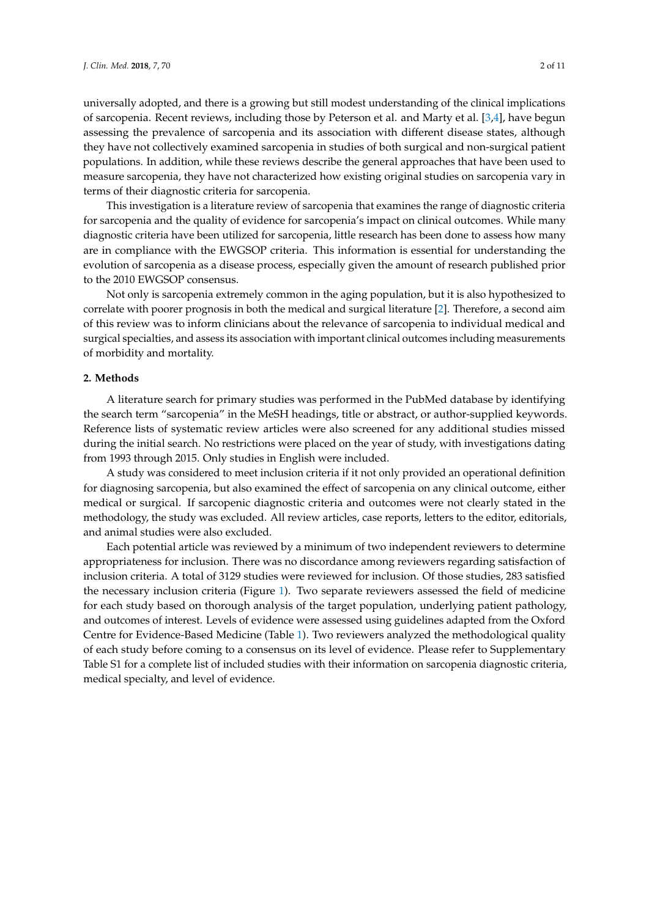universally adopted, and there is a growing but still modest understanding of the clinical implications of sarcopenia. Recent reviews, including those by Peterson et al. and Marty et al. [\[3](#page-8-2)[,4\]](#page-8-3), have begun assessing the prevalence of sarcopenia and its association with different disease states, although they have not collectively examined sarcopenia in studies of both surgical and non-surgical patient populations. In addition, while these reviews describe the general approaches that have been used to measure sarcopenia, they have not characterized how existing original studies on sarcopenia vary in terms of their diagnostic criteria for sarcopenia.

This investigation is a literature review of sarcopenia that examines the range of diagnostic criteria for sarcopenia and the quality of evidence for sarcopenia's impact on clinical outcomes. While many diagnostic criteria have been utilized for sarcopenia, little research has been done to assess how many are in compliance with the EWGSOP criteria. This information is essential for understanding the evolution of sarcopenia as a disease process, especially given the amount of research published prior to the 2010 EWGSOP consensus.

Not only is sarcopenia extremely common in the aging population, but it is also hypothesized to correlate with poorer prognosis in both the medical and surgical literature [\[2\]](#page-8-1). Therefore, a second aim of this review was to inform clinicians about the relevance of sarcopenia to individual medical and surgical specialties, and assess its association with important clinical outcomes including measurements of morbidity and mortality.

## **2. Methods**

A literature search for primary studies was performed in the PubMed database by identifying the search term "sarcopenia" in the MeSH headings, title or abstract, or author-supplied keywords. Reference lists of systematic review articles were also screened for any additional studies missed during the initial search. No restrictions were placed on the year of study, with investigations dating from 1993 through 2015. Only studies in English were included.

A study was considered to meet inclusion criteria if it not only provided an operational definition for diagnosing sarcopenia, but also examined the effect of sarcopenia on any clinical outcome, either medical or surgical. If sarcopenic diagnostic criteria and outcomes were not clearly stated in the methodology, the study was excluded. All review articles, case reports, letters to the editor, editorials, and animal studies were also excluded.

Each potential article was reviewed by a minimum of two independent reviewers to determine appropriateness for inclusion. There was no discordance among reviewers regarding satisfaction of inclusion criteria. A total of 3129 studies were reviewed for inclusion. Of those studies, 283 satisfied the necessary inclusion criteria (Figure [1\)](#page-2-0). Two separate reviewers assessed the field of medicine for each study based on thorough analysis of the target population, underlying patient pathology, and outcomes of interest. Levels of evidence were assessed using guidelines adapted from the Oxford Centre for Evidence-Based Medicine (Table [1\)](#page-2-1). Two reviewers analyzed the methodological quality of each study before coming to a consensus on its level of evidence. Please refer to Supplementary Table S1 for a complete list of included studies with their information on sarcopenia diagnostic criteria, medical specialty, and level of evidence.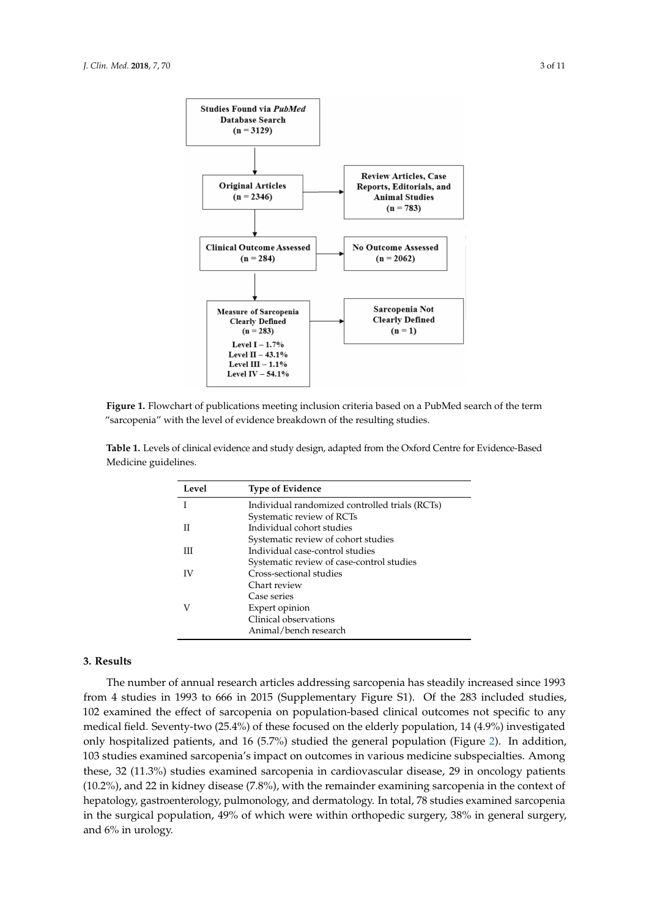<span id="page-2-0"></span>

**Figure 1.** Flowchart of publications meeting inclusion criteria based on a PubMed search of the term "sarcopenia" with the level of evidence breakdown of the resulting studies.

| Level | <b>Type of Evidence</b>                        |
|-------|------------------------------------------------|
|       | Individual randomized controlled trials (RCTs) |
|       | Systematic review of RCTs                      |
| Н     | Individual cohort studies                      |
|       | Systematic review of cohort studies            |
| Ш     | Individual case-control studies                |
|       | Systematic review of case-control studies      |
| IV    | Cross-sectional studies                        |
|       | Chart review                                   |
|       | Case series                                    |
| V     | Expert opinion                                 |
|       | Clinical observations                          |
|       | Animal/bench research                          |

<span id="page-2-1"></span>**Table 1.** Levels of clinical evidence and study design, adapted from the Oxford Centre for Evidence-Based Medicine guidelines.

# **3. Results**

The number of annual research articles addressing sarcopenia has steadily increased since 1993 from 4 studies in 1993 to 666 in 2015 (Supplementary Figure S1). Of the 283 included studies, 102 examined the effect of sarcopenia on population-based clinical outcomes not specific to any medical field. Seventy-two (25.4%) of these focused on the elderly population, 14 (4.9%) investigated only hospitalized patients, and 16 (5.7%) studied the general population (Figure [2\)](#page-3-0). In addition, 103 studies examined sarcopenia's impact on outcomes in various medicine subspecialties. Among these, 32 (11.3%) studies examined sarcopenia in cardiovascular disease, 29 in oncology patients (10.2%), and 22 in kidney disease (7.8%), with the remainder examining sarcopenia in the context of hepatology, gastroenterology, pulmonology, and dermatology. In total, 78 studies examined sarcopenia in the surgical population, 49% of which were within orthopedic surgery, 38% in general surgery, and 6% in urology.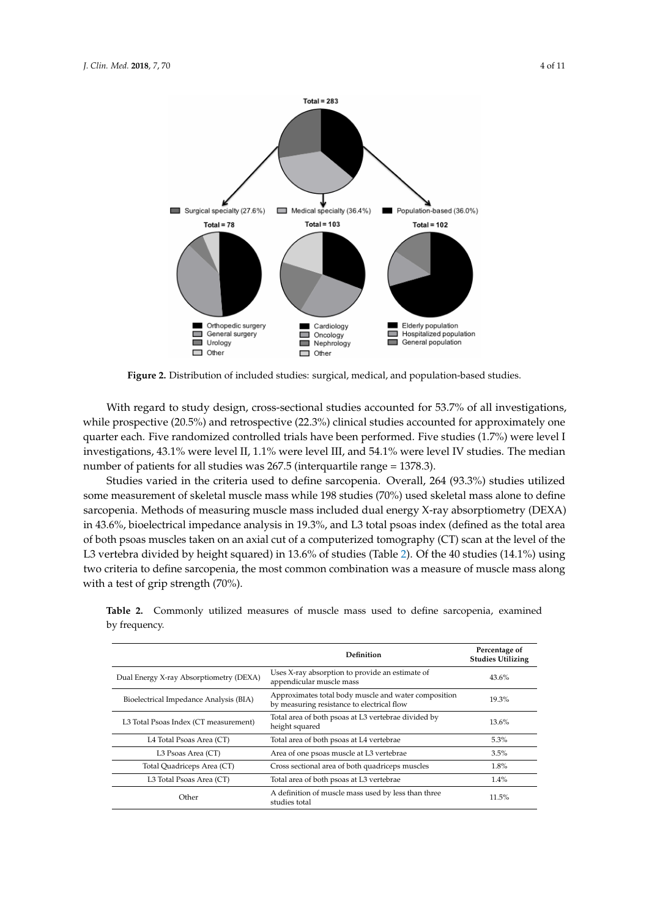<span id="page-3-0"></span>

**Figure 2.** Distribution of included studies: surgical, medical, and population-based studies.

With regard to study design, cross-sectional studies accounted for 53.7% of all investigations, while prospective (20.5%) and retrospective (22.3%) clinical studies accounted for approximately one quarter each. Five randomized controlled trials have been performed. Five studies (1.7%) were level I investigations, 43.1% were level II, 1.1% were level III, and 54.1% were level IV studies. The median number of patients for all studies was 267.5 (interquartile range = 1378.3).

Studies varied in the criteria used to define sarcopenia. Overall, 264 (93.3%) studies utilized some measurement of skeletal muscle mass while 198 studies (70%) used skeletal mass alone to define sarcopenia. Methods of measuring muscle mass included dual energy X-ray absorptiometry (DEXA) in 43.6%, bioelectrical impedance analysis in 19.3%, and L3 total psoas index (defined as the total area of both psoas muscles taken on an axial cut of a computerized tomography (CT) scan at the level of the L3 vertebra divided by height squared) in 13.6% of studies (Table [2\)](#page-3-1). Of the 40 studies (14.1%) using two criteria to define sarcopenia, the most common combination was a measure of muscle mass along with a test of grip strength (70%).

|                                         | Definition                                                                                         | Percentage of<br><b>Studies Utilizing</b> |
|-----------------------------------------|----------------------------------------------------------------------------------------------------|-------------------------------------------|
| Dual Energy X-ray Absorptiometry (DEXA) | Uses X-ray absorption to provide an estimate of<br>appendicular muscle mass                        | 43.6%                                     |
| Bioelectrical Impedance Analysis (BIA)  | Approximates total body muscle and water composition<br>by measuring resistance to electrical flow | 19.3%                                     |
| L3 Total Psoas Index (CT measurement)   | Total area of both psoas at L3 vertebrae divided by<br>height squared                              | 13.6%                                     |
| L4 Total Psoas Area (CT)                | Total area of both psoas at L4 vertebrae                                                           | 5.3%                                      |
| L3 Psoas Area (CT)                      | Area of one psoas muscle at L3 vertebrae                                                           | 3.5%                                      |
| Total Quadriceps Area (CT)              | Cross sectional area of both quadriceps muscles                                                    | 1.8%                                      |
| L3 Total Psoas Area (CT)                | Total area of both psoas at L3 vertebrae                                                           | $1.4\%$                                   |
| Other                                   | A definition of muscle mass used by less than three<br>studies total                               | 11.5%                                     |

<span id="page-3-1"></span>**Table 2.** Commonly utilized measures of muscle mass used to define sarcopenia, examined by frequency.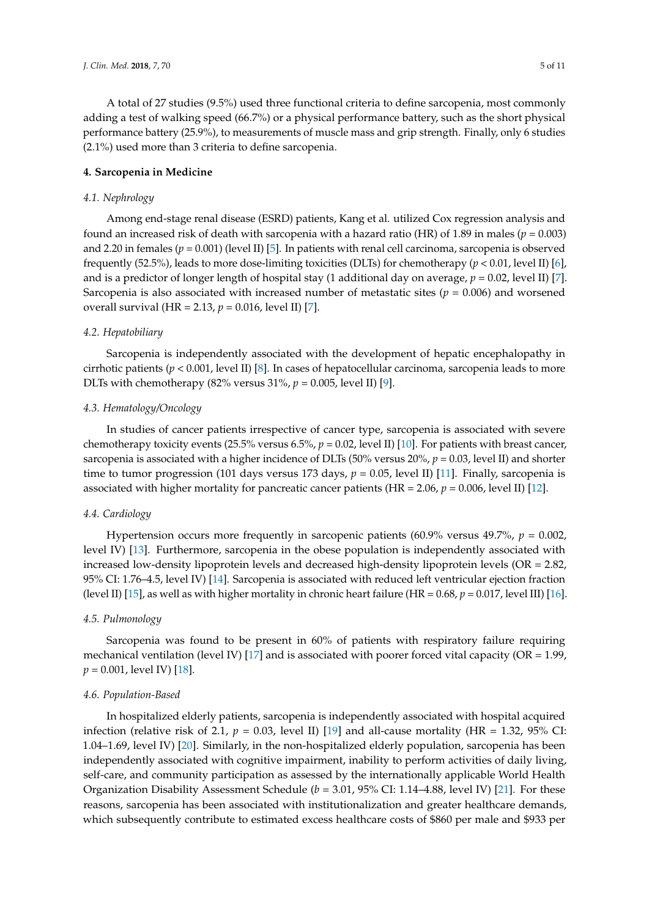A total of 27 studies (9.5%) used three functional criteria to define sarcopenia, most commonly adding a test of walking speed (66.7%) or a physical performance battery, such as the short physical performance battery (25.9%), to measurements of muscle mass and grip strength. Finally, only 6 studies (2.1%) used more than 3 criteria to define sarcopenia.

## **4. Sarcopenia in Medicine**

## *4.1. Nephrology*

Among end-stage renal disease (ESRD) patients, Kang et al. utilized Cox regression analysis and found an increased risk of death with sarcopenia with a hazard ratio (HR) of 1.89 in males ( $p = 0.003$ ) and 2.20 in females (*p* = 0.001) (level II) [\[5\]](#page-8-4). In patients with renal cell carcinoma, sarcopenia is observed frequently (52.5%), leads to more dose-limiting toxicities (DLTs) for chemotherapy (*p* < 0.01, level II) [\[6\]](#page-8-5), and is a predictor of longer length of hospital stay (1 additional day on average, *p* = 0.02, level II) [\[7\]](#page-8-6). Sarcopenia is also associated with increased number of metastatic sites ( $p = 0.006$ ) and worsened overall survival (HR = 2.13, *p* = 0.016, level II) [\[7\]](#page-8-6).

## *4.2. Hepatobiliary*

Sarcopenia is independently associated with the development of hepatic encephalopathy in cirrhotic patients (*p* < 0.001, level II) [\[8\]](#page-8-7). In cases of hepatocellular carcinoma, sarcopenia leads to more DLTs with chemotherapy (82% versus 31%, *p* = 0.005, level II) [\[9\]](#page-8-8).

## *4.3. Hematology/Oncology*

In studies of cancer patients irrespective of cancer type, sarcopenia is associated with severe chemotherapy toxicity events (25.5% versus 6.5%, *p* = 0.02, level II) [\[10\]](#page-8-9). For patients with breast cancer, sarcopenia is associated with a higher incidence of DLTs (50% versus 20%, *p* = 0.03, level II) and shorter time to tumor progression (101 days versus 173 days,  $p = 0.05$ , level II) [\[11\]](#page-8-10). Finally, sarcopenia is associated with higher mortality for pancreatic cancer patients (HR = 2.06, *p* = 0.006, level II) [\[12\]](#page-8-11).

## *4.4. Cardiology*

Hypertension occurs more frequently in sarcopenic patients (60.9% versus 49.7%, *p* = 0.002, level IV) [\[13\]](#page-8-12). Furthermore, sarcopenia in the obese population is independently associated with increased low-density lipoprotein levels and decreased high-density lipoprotein levels (OR = 2.82, 95% CI: 1.76–4.5, level IV) [\[14\]](#page-8-13). Sarcopenia is associated with reduced left ventricular ejection fraction (level II) [\[15\]](#page-9-0), as well as with higher mortality in chronic heart failure (HR =  $0.68$ ,  $p = 0.017$ , level III) [\[16\]](#page-9-1).

#### *4.5. Pulmonology*

Sarcopenia was found to be present in 60% of patients with respiratory failure requiring mechanical ventilation (level IV) [\[17\]](#page-9-2) and is associated with poorer forced vital capacity (OR =  $1.99$ , *p* = 0.001, level IV) [\[18\]](#page-9-3).

## *4.6. Population-Based*

In hospitalized elderly patients, sarcopenia is independently associated with hospital acquired infection (relative risk of 2.1,  $p = 0.03$ , level II) [\[19\]](#page-9-4) and all-cause mortality (HR = 1.32, 95% CI: 1.04–1.69, level IV) [\[20\]](#page-9-5). Similarly, in the non-hospitalized elderly population, sarcopenia has been independently associated with cognitive impairment, inability to perform activities of daily living, self-care, and community participation as assessed by the internationally applicable World Health Organization Disability Assessment Schedule (*b* = 3.01, 95% CI: 1.14–4.88, level IV) [\[21\]](#page-9-6). For these reasons, sarcopenia has been associated with institutionalization and greater healthcare demands, which subsequently contribute to estimated excess healthcare costs of \$860 per male and \$933 per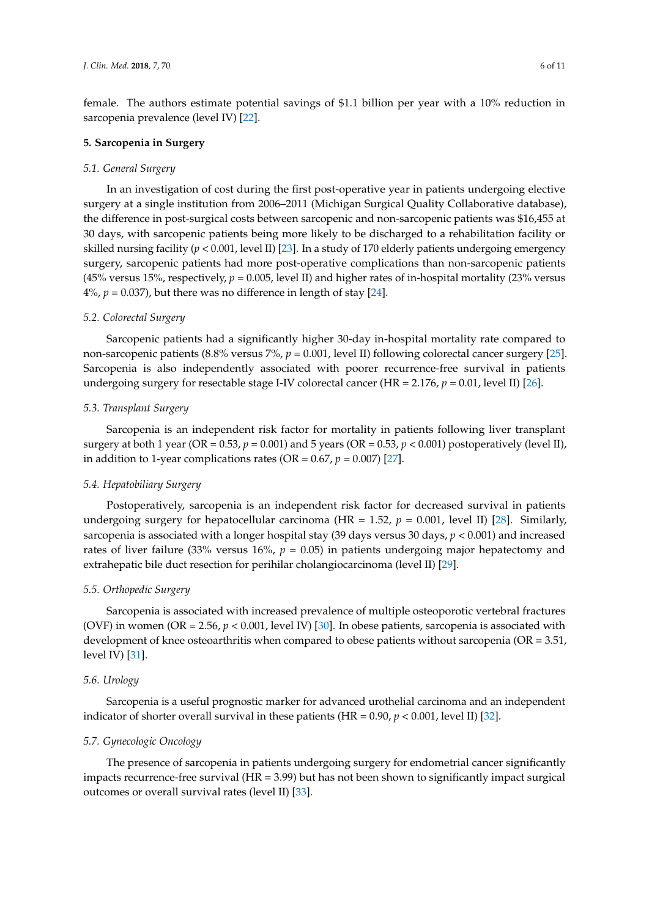female. The authors estimate potential savings of \$1.1 billion per year with a 10% reduction in sarcopenia prevalence (level IV) [\[22\]](#page-9-7).

#### **5. Sarcopenia in Surgery**

#### *5.1. General Surgery*

In an investigation of cost during the first post-operative year in patients undergoing elective surgery at a single institution from 2006–2011 (Michigan Surgical Quality Collaborative database), the difference in post-surgical costs between sarcopenic and non-sarcopenic patients was \$16,455 at 30 days, with sarcopenic patients being more likely to be discharged to a rehabilitation facility or skilled nursing facility ( $p < 0.001$ , level II) [\[23\]](#page-9-8). In a study of 170 elderly patients undergoing emergency surgery, sarcopenic patients had more post-operative complications than non-sarcopenic patients (45% versus 15%, respectively,  $p = 0.005$ , level II) and higher rates of in-hospital mortality (23% versus  $4\%$ ,  $p = 0.037$ ), but there was no difference in length of stay [\[24\]](#page-9-9).

## *5.2. Colorectal Surgery*

Sarcopenic patients had a significantly higher 30-day in-hospital mortality rate compared to non-sarcopenic patients (8.8% versus 7%, *p* = 0.001, level II) following colorectal cancer surgery [\[25\]](#page-9-10). Sarcopenia is also independently associated with poorer recurrence-free survival in patients undergoing surgery for resectable stage I-IV colorectal cancer (HR = 2.176, *p* = 0.01, level II) [\[26\]](#page-9-11).

## *5.3. Transplant Surgery*

Sarcopenia is an independent risk factor for mortality in patients following liver transplant surgery at both 1 year (OR = 0.53, *p* = 0.001) and 5 years (OR = 0.53, *p* < 0.001) postoperatively (level II), in addition to 1-year complications rates (OR =  $0.67$ ,  $p = 0.007$ ) [\[27\]](#page-9-12).

#### *5.4. Hepatobiliary Surgery*

Postoperatively, sarcopenia is an independent risk factor for decreased survival in patients undergoing surgery for hepatocellular carcinoma (HR = 1.52,  $p = 0.001$ , level II) [\[28\]](#page-9-13). Similarly, sarcopenia is associated with a longer hospital stay (39 days versus 30 days, *p* < 0.001) and increased rates of liver failure (33% versus 16%, *p* = 0.05) in patients undergoing major hepatectomy and extrahepatic bile duct resection for perihilar cholangiocarcinoma (level II) [\[29\]](#page-9-14).

## *5.5. Orthopedic Surgery*

Sarcopenia is associated with increased prevalence of multiple osteoporotic vertebral fractures (OVF) in women (OR = 2.56, *p* < 0.001, level IV) [\[30\]](#page-9-15). In obese patients, sarcopenia is associated with development of knee osteoarthritis when compared to obese patients without sarcopenia (OR = 3.51, level IV) [\[31\]](#page-9-16).

#### *5.6. Urology*

Sarcopenia is a useful prognostic marker for advanced urothelial carcinoma and an independent indicator of shorter overall survival in these patients ( $HR = 0.90$ ,  $p < 0.001$ , level II) [\[32\]](#page-9-17).

#### *5.7. Gynecologic Oncology*

The presence of sarcopenia in patients undergoing surgery for endometrial cancer significantly impacts recurrence-free survival (HR = 3.99) but has not been shown to significantly impact surgical outcomes or overall survival rates (level II) [\[33\]](#page-10-0).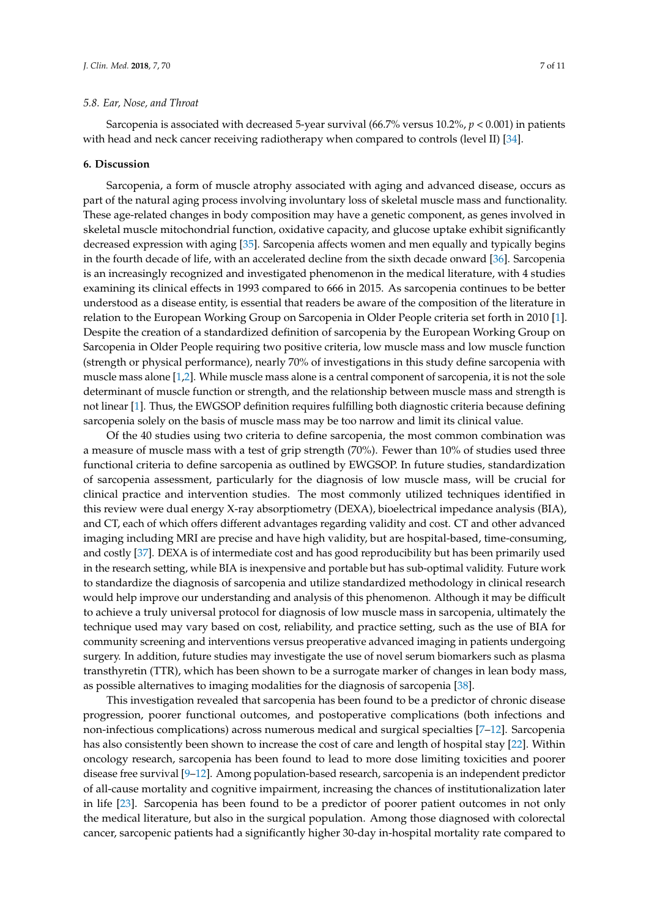## *5.8. Ear, Nose, and Throat*

Sarcopenia is associated with decreased 5-year survival (66.7% versus 10.2%, *p* < 0.001) in patients with head and neck cancer receiving radiotherapy when compared to controls (level II) [\[34\]](#page-10-1).

#### **6. Discussion**

Sarcopenia, a form of muscle atrophy associated with aging and advanced disease, occurs as part of the natural aging process involving involuntary loss of skeletal muscle mass and functionality. These age-related changes in body composition may have a genetic component, as genes involved in skeletal muscle mitochondrial function, oxidative capacity, and glucose uptake exhibit significantly decreased expression with aging [\[35\]](#page-10-2). Sarcopenia affects women and men equally and typically begins in the fourth decade of life, with an accelerated decline from the sixth decade onward [\[36\]](#page-10-3). Sarcopenia is an increasingly recognized and investigated phenomenon in the medical literature, with 4 studies examining its clinical effects in 1993 compared to 666 in 2015. As sarcopenia continues to be better understood as a disease entity, is essential that readers be aware of the composition of the literature in relation to the European Working Group on Sarcopenia in Older People criteria set forth in 2010 [\[1\]](#page-8-0). Despite the creation of a standardized definition of sarcopenia by the European Working Group on Sarcopenia in Older People requiring two positive criteria, low muscle mass and low muscle function (strength or physical performance), nearly 70% of investigations in this study define sarcopenia with muscle mass alone [\[1,](#page-8-0)[2\]](#page-8-1). While muscle mass alone is a central component of sarcopenia, it is not the sole determinant of muscle function or strength, and the relationship between muscle mass and strength is not linear [\[1\]](#page-8-0). Thus, the EWGSOP definition requires fulfilling both diagnostic criteria because defining sarcopenia solely on the basis of muscle mass may be too narrow and limit its clinical value.

Of the 40 studies using two criteria to define sarcopenia, the most common combination was a measure of muscle mass with a test of grip strength (70%). Fewer than 10% of studies used three functional criteria to define sarcopenia as outlined by EWGSOP. In future studies, standardization of sarcopenia assessment, particularly for the diagnosis of low muscle mass, will be crucial for clinical practice and intervention studies. The most commonly utilized techniques identified in this review were dual energy X-ray absorptiometry (DEXA), bioelectrical impedance analysis (BIA), and CT, each of which offers different advantages regarding validity and cost. CT and other advanced imaging including MRI are precise and have high validity, but are hospital-based, time-consuming, and costly [\[37\]](#page-10-4). DEXA is of intermediate cost and has good reproducibility but has been primarily used in the research setting, while BIA is inexpensive and portable but has sub-optimal validity. Future work to standardize the diagnosis of sarcopenia and utilize standardized methodology in clinical research would help improve our understanding and analysis of this phenomenon. Although it may be difficult to achieve a truly universal protocol for diagnosis of low muscle mass in sarcopenia, ultimately the technique used may vary based on cost, reliability, and practice setting, such as the use of BIA for community screening and interventions versus preoperative advanced imaging in patients undergoing surgery. In addition, future studies may investigate the use of novel serum biomarkers such as plasma transthyretin (TTR), which has been shown to be a surrogate marker of changes in lean body mass, as possible alternatives to imaging modalities for the diagnosis of sarcopenia [\[38\]](#page-10-5).

This investigation revealed that sarcopenia has been found to be a predictor of chronic disease progression, poorer functional outcomes, and postoperative complications (both infections and non-infectious complications) across numerous medical and surgical specialties [\[7–](#page-8-6)[12\]](#page-8-11). Sarcopenia has also consistently been shown to increase the cost of care and length of hospital stay [\[22\]](#page-9-7). Within oncology research, sarcopenia has been found to lead to more dose limiting toxicities and poorer disease free survival [\[9](#page-8-8)[–12\]](#page-8-11). Among population-based research, sarcopenia is an independent predictor of all-cause mortality and cognitive impairment, increasing the chances of institutionalization later in life [\[23\]](#page-9-8). Sarcopenia has been found to be a predictor of poorer patient outcomes in not only the medical literature, but also in the surgical population. Among those diagnosed with colorectal cancer, sarcopenic patients had a significantly higher 30-day in-hospital mortality rate compared to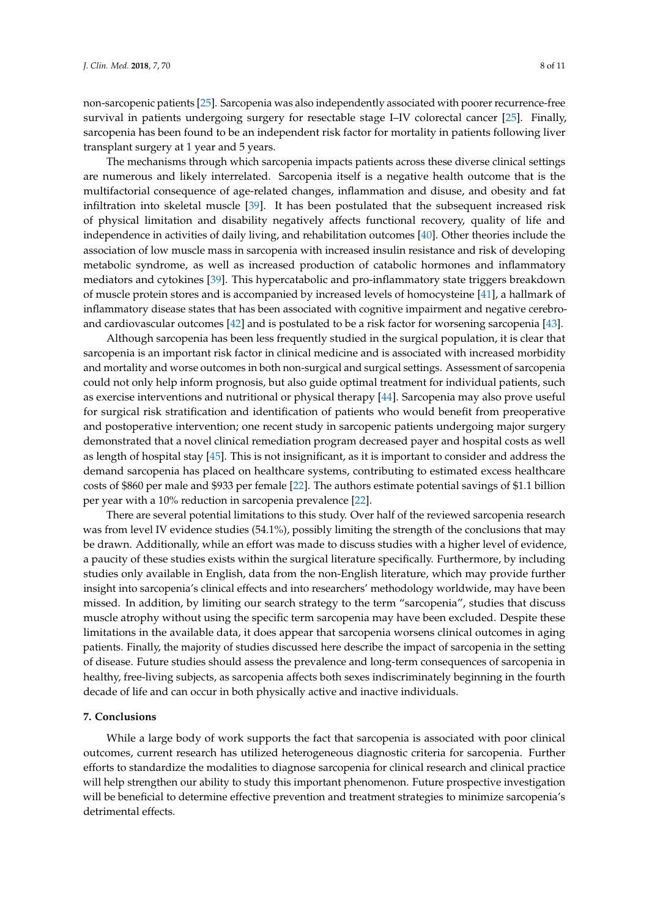non-sarcopenic patients [\[25\]](#page-9-10). Sarcopenia was also independently associated with poorer recurrence-free survival in patients undergoing surgery for resectable stage I–IV colorectal cancer [\[25\]](#page-9-10). Finally, sarcopenia has been found to be an independent risk factor for mortality in patients following liver transplant surgery at 1 year and 5 years.

The mechanisms through which sarcopenia impacts patients across these diverse clinical settings are numerous and likely interrelated. Sarcopenia itself is a negative health outcome that is the multifactorial consequence of age-related changes, inflammation and disuse, and obesity and fat infiltration into skeletal muscle [\[39\]](#page-10-6). It has been postulated that the subsequent increased risk of physical limitation and disability negatively affects functional recovery, quality of life and independence in activities of daily living, and rehabilitation outcomes [\[40\]](#page-10-7). Other theories include the association of low muscle mass in sarcopenia with increased insulin resistance and risk of developing metabolic syndrome, as well as increased production of catabolic hormones and inflammatory mediators and cytokines [\[39\]](#page-10-6). This hypercatabolic and pro-inflammatory state triggers breakdown of muscle protein stores and is accompanied by increased levels of homocysteine [\[41\]](#page-10-8), a hallmark of inflammatory disease states that has been associated with cognitive impairment and negative cerebroand cardiovascular outcomes [\[42\]](#page-10-9) and is postulated to be a risk factor for worsening sarcopenia [\[43\]](#page-10-10).

Although sarcopenia has been less frequently studied in the surgical population, it is clear that sarcopenia is an important risk factor in clinical medicine and is associated with increased morbidity and mortality and worse outcomes in both non-surgical and surgical settings. Assessment of sarcopenia could not only help inform prognosis, but also guide optimal treatment for individual patients, such as exercise interventions and nutritional or physical therapy [\[44\]](#page-10-11). Sarcopenia may also prove useful for surgical risk stratification and identification of patients who would benefit from preoperative and postoperative intervention; one recent study in sarcopenic patients undergoing major surgery demonstrated that a novel clinical remediation program decreased payer and hospital costs as well as length of hospital stay [\[45\]](#page-10-12). This is not insignificant, as it is important to consider and address the demand sarcopenia has placed on healthcare systems, contributing to estimated excess healthcare costs of \$860 per male and \$933 per female [\[22\]](#page-9-7). The authors estimate potential savings of \$1.1 billion per year with a 10% reduction in sarcopenia prevalence [\[22\]](#page-9-7).

There are several potential limitations to this study. Over half of the reviewed sarcopenia research was from level IV evidence studies (54.1%), possibly limiting the strength of the conclusions that may be drawn. Additionally, while an effort was made to discuss studies with a higher level of evidence, a paucity of these studies exists within the surgical literature specifically. Furthermore, by including studies only available in English, data from the non-English literature, which may provide further insight into sarcopenia's clinical effects and into researchers' methodology worldwide, may have been missed. In addition, by limiting our search strategy to the term "sarcopenia", studies that discuss muscle atrophy without using the specific term sarcopenia may have been excluded. Despite these limitations in the available data, it does appear that sarcopenia worsens clinical outcomes in aging patients. Finally, the majority of studies discussed here describe the impact of sarcopenia in the setting of disease. Future studies should assess the prevalence and long-term consequences of sarcopenia in healthy, free-living subjects, as sarcopenia affects both sexes indiscriminately beginning in the fourth decade of life and can occur in both physically active and inactive individuals.

#### **7. Conclusions**

While a large body of work supports the fact that sarcopenia is associated with poor clinical outcomes, current research has utilized heterogeneous diagnostic criteria for sarcopenia. Further efforts to standardize the modalities to diagnose sarcopenia for clinical research and clinical practice will help strengthen our ability to study this important phenomenon. Future prospective investigation will be beneficial to determine effective prevention and treatment strategies to minimize sarcopenia's detrimental effects.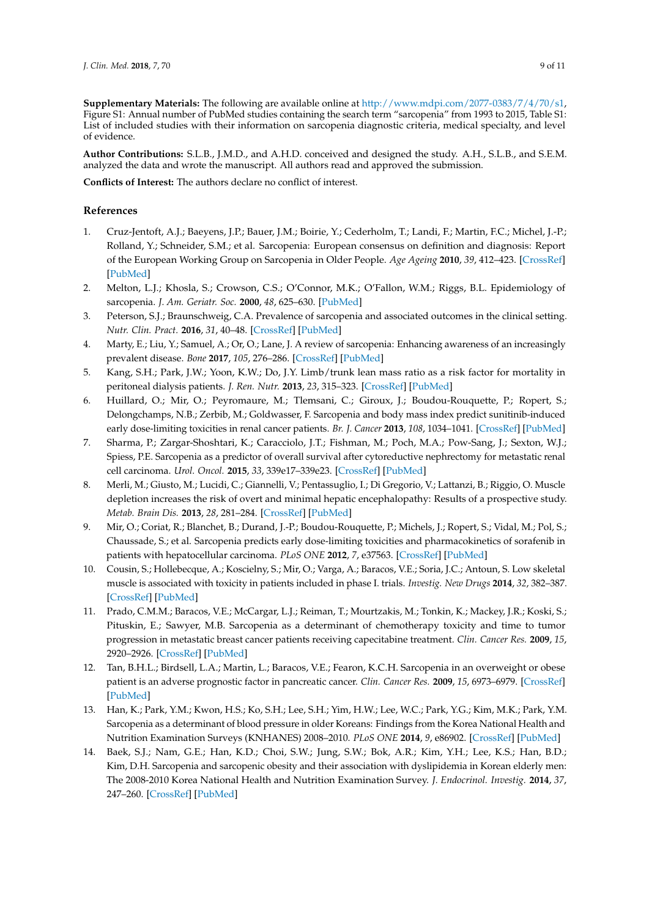**Supplementary Materials:** The following are available online at [http://www.mdpi.com/2077-0383/7/4/70/s1,](http://www.mdpi.com/2077-0383/7/4/70/s1) Figure S1: Annual number of PubMed studies containing the search term "sarcopenia" from 1993 to 2015, Table S1: List of included studies with their information on sarcopenia diagnostic criteria, medical specialty, and level of evidence.

**Author Contributions:** S.L.B., J.M.D., and A.H.D. conceived and designed the study. A.H., S.L.B., and S.E.M. analyzed the data and wrote the manuscript. All authors read and approved the submission.

**Conflicts of Interest:** The authors declare no conflict of interest.

## **References**

- <span id="page-8-0"></span>1. Cruz-Jentoft, A.J.; Baeyens, J.P.; Bauer, J.M.; Boirie, Y.; Cederholm, T.; Landi, F.; Martin, F.C.; Michel, J.-P.; Rolland, Y.; Schneider, S.M.; et al. Sarcopenia: European consensus on definition and diagnosis: Report of the European Working Group on Sarcopenia in Older People. *Age Ageing* **2010**, *39*, 412–423. [\[CrossRef\]](http://dx.doi.org/10.1093/ageing/afq034) [\[PubMed\]](http://www.ncbi.nlm.nih.gov/pubmed/20392703)
- <span id="page-8-1"></span>2. Melton, L.J.; Khosla, S.; Crowson, C.S.; O'Connor, M.K.; O'Fallon, W.M.; Riggs, B.L. Epidemiology of sarcopenia. *J. Am. Geriatr. Soc.* **2000**, *48*, 625–630. [\[PubMed\]](http://www.ncbi.nlm.nih.gov/pubmed/10855597)
- <span id="page-8-2"></span>3. Peterson, S.J.; Braunschweig, C.A. Prevalence of sarcopenia and associated outcomes in the clinical setting. *Nutr. Clin. Pract.* **2016**, *31*, 40–48. [\[CrossRef\]](http://dx.doi.org/10.1177/0884533615622537) [\[PubMed\]](http://www.ncbi.nlm.nih.gov/pubmed/26703961)
- <span id="page-8-3"></span>4. Marty, E.; Liu, Y.; Samuel, A.; Or, O.; Lane, J. A review of sarcopenia: Enhancing awareness of an increasingly prevalent disease. *Bone* **2017**, *105*, 276–286. [\[CrossRef\]](http://dx.doi.org/10.1016/j.bone.2017.09.008) [\[PubMed\]](http://www.ncbi.nlm.nih.gov/pubmed/28931495)
- <span id="page-8-4"></span>5. Kang, S.H.; Park, J.W.; Yoon, K.W.; Do, J.Y. Limb/trunk lean mass ratio as a risk factor for mortality in peritoneal dialysis patients. *J. Ren. Nutr.* **2013**, *23*, 315–323. [\[CrossRef\]](http://dx.doi.org/10.1053/j.jrn.2012.09.004) [\[PubMed\]](http://www.ncbi.nlm.nih.gov/pubmed/23141559)
- <span id="page-8-5"></span>6. Huillard, O.; Mir, O.; Peyromaure, M.; Tlemsani, C.; Giroux, J.; Boudou-Rouquette, P.; Ropert, S.; Delongchamps, N.B.; Zerbib, M.; Goldwasser, F. Sarcopenia and body mass index predict sunitinib-induced early dose-limiting toxicities in renal cancer patients. *Br. J. Cancer* **2013**, *108*, 1034–1041. [\[CrossRef\]](http://dx.doi.org/10.1038/bjc.2013.58) [\[PubMed\]](http://www.ncbi.nlm.nih.gov/pubmed/23462722)
- <span id="page-8-6"></span>7. Sharma, P.; Zargar-Shoshtari, K.; Caracciolo, J.T.; Fishman, M.; Poch, M.A.; Pow-Sang, J.; Sexton, W.J.; Spiess, P.E. Sarcopenia as a predictor of overall survival after cytoreductive nephrectomy for metastatic renal cell carcinoma. *Urol. Oncol.* **2015**, *33*, 339e17–339e23. [\[CrossRef\]](http://dx.doi.org/10.1016/j.urolonc.2015.01.011) [\[PubMed\]](http://www.ncbi.nlm.nih.gov/pubmed/26094169)
- <span id="page-8-7"></span>8. Merli, M.; Giusto, M.; Lucidi, C.; Giannelli, V.; Pentassuglio, I.; Di Gregorio, V.; Lattanzi, B.; Riggio, O. Muscle depletion increases the risk of overt and minimal hepatic encephalopathy: Results of a prospective study. *Metab. Brain Dis.* **2013**, *28*, 281–284. [\[CrossRef\]](http://dx.doi.org/10.1007/s11011-012-9365-z) [\[PubMed\]](http://www.ncbi.nlm.nih.gov/pubmed/23224378)
- <span id="page-8-8"></span>9. Mir, O.; Coriat, R.; Blanchet, B.; Durand, J.-P.; Boudou-Rouquette, P.; Michels, J.; Ropert, S.; Vidal, M.; Pol, S.; Chaussade, S.; et al. Sarcopenia predicts early dose-limiting toxicities and pharmacokinetics of sorafenib in patients with hepatocellular carcinoma. *PLoS ONE* **2012**, *7*, e37563. [\[CrossRef\]](http://dx.doi.org/10.1371/journal.pone.0037563) [\[PubMed\]](http://www.ncbi.nlm.nih.gov/pubmed/22666367)
- <span id="page-8-9"></span>10. Cousin, S.; Hollebecque, A.; Koscielny, S.; Mir, O.; Varga, A.; Baracos, V.E.; Soria, J.C.; Antoun, S. Low skeletal muscle is associated with toxicity in patients included in phase I. trials. *Investig. New Drugs* **2014**, *32*, 382–387. [\[CrossRef\]](http://dx.doi.org/10.1007/s10637-013-0053-6) [\[PubMed\]](http://www.ncbi.nlm.nih.gov/pubmed/24343673)
- <span id="page-8-10"></span>11. Prado, C.M.M.; Baracos, V.E.; McCargar, L.J.; Reiman, T.; Mourtzakis, M.; Tonkin, K.; Mackey, J.R.; Koski, S.; Pituskin, E.; Sawyer, M.B. Sarcopenia as a determinant of chemotherapy toxicity and time to tumor progression in metastatic breast cancer patients receiving capecitabine treatment. *Clin. Cancer Res.* **2009**, *15*, 2920–2926. [\[CrossRef\]](http://dx.doi.org/10.1158/1078-0432.CCR-08-2242) [\[PubMed\]](http://www.ncbi.nlm.nih.gov/pubmed/19351764)
- <span id="page-8-11"></span>12. Tan, B.H.L.; Birdsell, L.A.; Martin, L.; Baracos, V.E.; Fearon, K.C.H. Sarcopenia in an overweight or obese patient is an adverse prognostic factor in pancreatic cancer. *Clin. Cancer Res.* **2009**, *15*, 6973–6979. [\[CrossRef\]](http://dx.doi.org/10.1158/1078-0432.CCR-09-1525) [\[PubMed\]](http://www.ncbi.nlm.nih.gov/pubmed/19887488)
- <span id="page-8-12"></span>13. Han, K.; Park, Y.M.; Kwon, H.S.; Ko, S.H.; Lee, S.H.; Yim, H.W.; Lee, W.C.; Park, Y.G.; Kim, M.K.; Park, Y.M. Sarcopenia as a determinant of blood pressure in older Koreans: Findings from the Korea National Health and Nutrition Examination Surveys (KNHANES) 2008–2010. *PLoS ONE* **2014**, *9*, e86902. [\[CrossRef\]](http://dx.doi.org/10.1371/journal.pone.0086902) [\[PubMed\]](http://www.ncbi.nlm.nih.gov/pubmed/24489804)
- <span id="page-8-13"></span>14. Baek, S.J.; Nam, G.E.; Han, K.D.; Choi, S.W.; Jung, S.W.; Bok, A.R.; Kim, Y.H.; Lee, K.S.; Han, B.D.; Kim, D.H. Sarcopenia and sarcopenic obesity and their association with dyslipidemia in Korean elderly men: The 2008-2010 Korea National Health and Nutrition Examination Survey. *J. Endocrinol. Investig.* **2014**, *37*, 247–260. [\[CrossRef\]](http://dx.doi.org/10.1007/s40618-013-0011-3) [\[PubMed\]](http://www.ncbi.nlm.nih.gov/pubmed/24615361)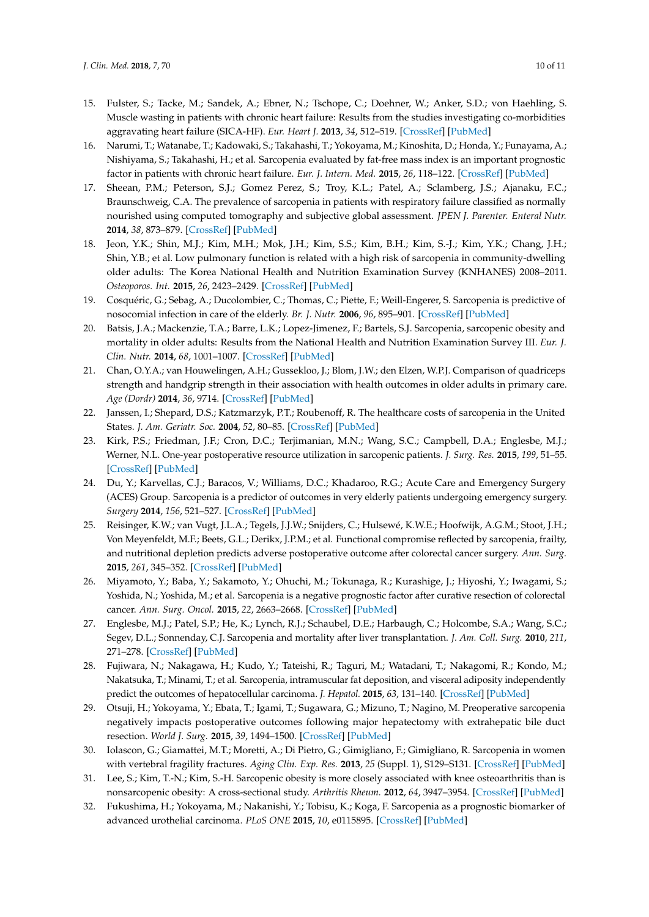- <span id="page-9-0"></span>15. Fulster, S.; Tacke, M.; Sandek, A.; Ebner, N.; Tschope, C.; Doehner, W.; Anker, S.D.; von Haehling, S. Muscle wasting in patients with chronic heart failure: Results from the studies investigating co-morbidities aggravating heart failure (SICA-HF). *Eur. Heart J.* **2013**, *34*, 512–519. [\[CrossRef\]](http://dx.doi.org/10.1093/eurheartj/ehs381) [\[PubMed\]](http://www.ncbi.nlm.nih.gov/pubmed/23178647)
- <span id="page-9-1"></span>16. Narumi, T.; Watanabe, T.; Kadowaki, S.; Takahashi, T.; Yokoyama, M.; Kinoshita, D.; Honda, Y.; Funayama, A.; Nishiyama, S.; Takahashi, H.; et al. Sarcopenia evaluated by fat-free mass index is an important prognostic factor in patients with chronic heart failure. *Eur. J. Intern. Med.* **2015**, *26*, 118–122. [\[CrossRef\]](http://dx.doi.org/10.1016/j.ejim.2015.01.008) [\[PubMed\]](http://www.ncbi.nlm.nih.gov/pubmed/25657117)
- <span id="page-9-2"></span>17. Sheean, P.M.; Peterson, S.J.; Gomez Perez, S.; Troy, K.L.; Patel, A.; Sclamberg, J.S.; Ajanaku, F.C.; Braunschweig, C.A. The prevalence of sarcopenia in patients with respiratory failure classified as normally nourished using computed tomography and subjective global assessment. *JPEN J. Parenter. Enteral Nutr.* **2014**, *38*, 873–879. [\[CrossRef\]](http://dx.doi.org/10.1177/0148607113500308) [\[PubMed\]](http://www.ncbi.nlm.nih.gov/pubmed/23980135)
- <span id="page-9-3"></span>18. Jeon, Y.K.; Shin, M.J.; Kim, M.H.; Mok, J.H.; Kim, S.S.; Kim, B.H.; Kim, S.-J.; Kim, Y.K.; Chang, J.H.; Shin, Y.B.; et al. Low pulmonary function is related with a high risk of sarcopenia in community-dwelling older adults: The Korea National Health and Nutrition Examination Survey (KNHANES) 2008–2011. *Osteoporos. Int.* **2015**, *26*, 2423–2429. [\[CrossRef\]](http://dx.doi.org/10.1007/s00198-015-3152-8) [\[PubMed\]](http://www.ncbi.nlm.nih.gov/pubmed/25956284)
- <span id="page-9-4"></span>19. Cosquéric, G.; Sebag, A.; Ducolombier, C.; Thomas, C.; Piette, F.; Weill-Engerer, S. Sarcopenia is predictive of nosocomial infection in care of the elderly. *Br. J. Nutr.* **2006**, *96*, 895–901. [\[CrossRef\]](http://dx.doi.org/10.1017/BJN20061943) [\[PubMed\]](http://www.ncbi.nlm.nih.gov/pubmed/17092379)
- <span id="page-9-5"></span>20. Batsis, J.A.; Mackenzie, T.A.; Barre, L.K.; Lopez-Jimenez, F.; Bartels, S.J. Sarcopenia, sarcopenic obesity and mortality in older adults: Results from the National Health and Nutrition Examination Survey III. *Eur. J. Clin. Nutr.* **2014**, *68*, 1001–1007. [\[CrossRef\]](http://dx.doi.org/10.1038/ejcn.2014.117) [\[PubMed\]](http://www.ncbi.nlm.nih.gov/pubmed/24961545)
- <span id="page-9-6"></span>21. Chan, O.Y.A.; van Houwelingen, A.H.; Gussekloo, J.; Blom, J.W.; den Elzen, W.P.J. Comparison of quadriceps strength and handgrip strength in their association with health outcomes in older adults in primary care. *Age (Dordr)* **2014**, *36*, 9714. [\[CrossRef\]](http://dx.doi.org/10.1007/s11357-014-9714-4) [\[PubMed\]](http://www.ncbi.nlm.nih.gov/pubmed/25280549)
- <span id="page-9-7"></span>22. Janssen, I.; Shepard, D.S.; Katzmarzyk, P.T.; Roubenoff, R. The healthcare costs of sarcopenia in the United States. *J. Am. Geriatr. Soc.* **2004**, *52*, 80–85. [\[CrossRef\]](http://dx.doi.org/10.1111/j.1532-5415.2004.52014.x) [\[PubMed\]](http://www.ncbi.nlm.nih.gov/pubmed/14687319)
- <span id="page-9-8"></span>23. Kirk, P.S.; Friedman, J.F.; Cron, D.C.; Terjimanian, M.N.; Wang, S.C.; Campbell, D.A.; Englesbe, M.J.; Werner, N.L. One-year postoperative resource utilization in sarcopenic patients. *J. Surg. Res.* **2015**, *199*, 51–55. [\[CrossRef\]](http://dx.doi.org/10.1016/j.jss.2015.04.074) [\[PubMed\]](http://www.ncbi.nlm.nih.gov/pubmed/25990695)
- <span id="page-9-9"></span>24. Du, Y.; Karvellas, C.J.; Baracos, V.; Williams, D.C.; Khadaroo, R.G.; Acute Care and Emergency Surgery (ACES) Group. Sarcopenia is a predictor of outcomes in very elderly patients undergoing emergency surgery. *Surgery* **2014**, *156*, 521–527. [\[CrossRef\]](http://dx.doi.org/10.1016/j.surg.2014.04.027) [\[PubMed\]](http://www.ncbi.nlm.nih.gov/pubmed/24929435)
- <span id="page-9-10"></span>25. Reisinger, K.W.; van Vugt, J.L.A.; Tegels, J.J.W.; Snijders, C.; Hulsewé, K.W.E.; Hoofwijk, A.G.M.; Stoot, J.H.; Von Meyenfeldt, M.F.; Beets, G.L.; Derikx, J.P.M.; et al. Functional compromise reflected by sarcopenia, frailty, and nutritional depletion predicts adverse postoperative outcome after colorectal cancer surgery. *Ann. Surg.* **2015**, *261*, 345–352. [\[CrossRef\]](http://dx.doi.org/10.1097/SLA.0000000000000628) [\[PubMed\]](http://www.ncbi.nlm.nih.gov/pubmed/24651133)
- <span id="page-9-11"></span>26. Miyamoto, Y.; Baba, Y.; Sakamoto, Y.; Ohuchi, M.; Tokunaga, R.; Kurashige, J.; Hiyoshi, Y.; Iwagami, S.; Yoshida, N.; Yoshida, M.; et al. Sarcopenia is a negative prognostic factor after curative resection of colorectal cancer. *Ann. Surg. Oncol.* **2015**, *22*, 2663–2668. [\[CrossRef\]](http://dx.doi.org/10.1245/s10434-014-4281-6) [\[PubMed\]](http://www.ncbi.nlm.nih.gov/pubmed/25564158)
- <span id="page-9-12"></span>27. Englesbe, M.J.; Patel, S.P.; He, K.; Lynch, R.J.; Schaubel, D.E.; Harbaugh, C.; Holcombe, S.A.; Wang, S.C.; Segev, D.L.; Sonnenday, C.J. Sarcopenia and mortality after liver transplantation. *J. Am. Coll. Surg.* **2010**, *211*, 271–278. [\[CrossRef\]](http://dx.doi.org/10.1016/j.jamcollsurg.2010.03.039) [\[PubMed\]](http://www.ncbi.nlm.nih.gov/pubmed/20670867)
- <span id="page-9-13"></span>28. Fujiwara, N.; Nakagawa, H.; Kudo, Y.; Tateishi, R.; Taguri, M.; Watadani, T.; Nakagomi, R.; Kondo, M.; Nakatsuka, T.; Minami, T.; et al. Sarcopenia, intramuscular fat deposition, and visceral adiposity independently predict the outcomes of hepatocellular carcinoma. *J. Hepatol.* **2015**, *63*, 131–140. [\[CrossRef\]](http://dx.doi.org/10.1016/j.jhep.2015.02.031) [\[PubMed\]](http://www.ncbi.nlm.nih.gov/pubmed/25724366)
- <span id="page-9-14"></span>29. Otsuji, H.; Yokoyama, Y.; Ebata, T.; Igami, T.; Sugawara, G.; Mizuno, T.; Nagino, M. Preoperative sarcopenia negatively impacts postoperative outcomes following major hepatectomy with extrahepatic bile duct resection. *World J. Surg.* **2015**, *39*, 1494–1500. [\[CrossRef\]](http://dx.doi.org/10.1007/s00268-015-2988-6) [\[PubMed\]](http://www.ncbi.nlm.nih.gov/pubmed/25651963)
- <span id="page-9-15"></span>30. Iolascon, G.; Giamattei, M.T.; Moretti, A.; Di Pietro, G.; Gimigliano, F.; Gimigliano, R. Sarcopenia in women with vertebral fragility fractures. *Aging Clin. Exp. Res.* **2013**, *25* (Suppl. 1), S129–S131. [\[CrossRef\]](http://dx.doi.org/10.1007/s40520-013-0102-1) [\[PubMed\]](http://www.ncbi.nlm.nih.gov/pubmed/24046029)
- <span id="page-9-16"></span>31. Lee, S.; Kim, T.-N.; Kim, S.-H. Sarcopenic obesity is more closely associated with knee osteoarthritis than is nonsarcopenic obesity: A cross-sectional study. *Arthritis Rheum.* **2012**, *64*, 3947–3954. [\[CrossRef\]](http://dx.doi.org/10.1002/art.37696) [\[PubMed\]](http://www.ncbi.nlm.nih.gov/pubmed/23192792)
- <span id="page-9-17"></span>32. Fukushima, H.; Yokoyama, M.; Nakanishi, Y.; Tobisu, K.; Koga, F. Sarcopenia as a prognostic biomarker of advanced urothelial carcinoma. *PLoS ONE* **2015**, *10*, e0115895. [\[CrossRef\]](http://dx.doi.org/10.1371/journal.pone.0115895) [\[PubMed\]](http://www.ncbi.nlm.nih.gov/pubmed/25612215)